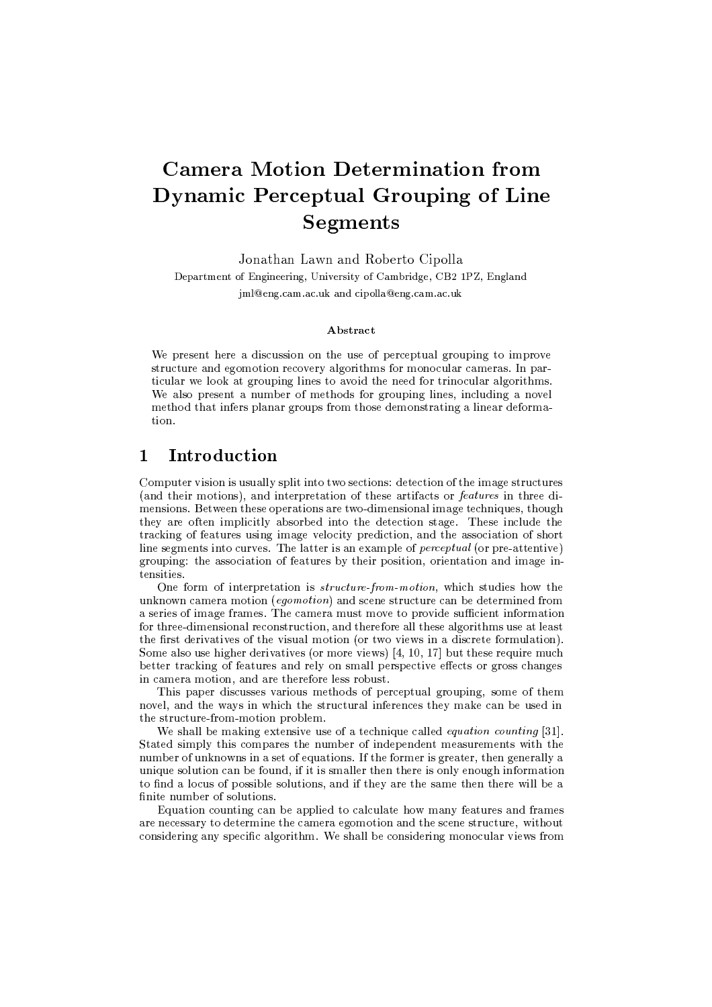# **Camera Motion Determination from Dynamic Perceptual Grouping of Line Segments**

Jonathan Lawn and Roberto Cipolla

Department of Engineering, University of Cambridge, CB2 1PZ, England jml@eng.cam.ac.uk and cipolla@eng.cam.ac.uk

### A bstract

We present here a discussion on the use of perceptual grouping to improve structure and egomotion recovery algorithms for monocular cameras. In particular we look at grouping lines to avoid the need for trinocular algorithms. We also present a number of methods for grouping lines, including a novel method that infers planar groups from those demonstrating a linear deforma $t$ ion

#### $\mathbf{1}$ Introduction

Computer vision is usually split into two sections: detection of the image structures (and their motions), and interpretation of these artifacts or features in three dimensions. Between these operations are two-dimensional image techniques, though they are often implicitly absorbed into the detection stage. These include the tracking of features using image velocity prediction, and the association of short line segments into curves. The latter is an example of *perceptual* (or pre-attentive) grouping: the association of features by their position, orientation and image intensities.

One form of interpretation is *structure-from-motion*, which studies how the unknown camera motion (eqomotion) and scene structure can be determined from a series of image frames. The camera must move to provide sufficient information for three-dimensional reconstruction, and therefore all these algorithms use at least the first derivatives of the visual motion (or two views in a discrete formulation). Some also use higher derivatives (or more views)  $[4, 10, 17]$  but these require much better tracking of features and rely on small perspective effects or gross changes in camera motion, and are therefore less robust.

This paper discusses various methods of perceptual grouping, some of them novel, and the ways in which the structural inferences they make can be used in the structure-from-motion problem.

We shall be making extensive use of a technique called *equation counting* [31]. Stated simply this compares the number of independent measurements with the number of unknowns in a set of equations. If the former is greater, then generally a unique solution can be found, if it is smaller then there is only enough information to find a locus of possible solutions, and if they are the same then there will be a finite number of solutions.

Equation counting can be applied to calculate how many features and frames are necessary to determine the camera egomotion and the scene structure, without considering any specific algorithm. We shall be considering monocular views from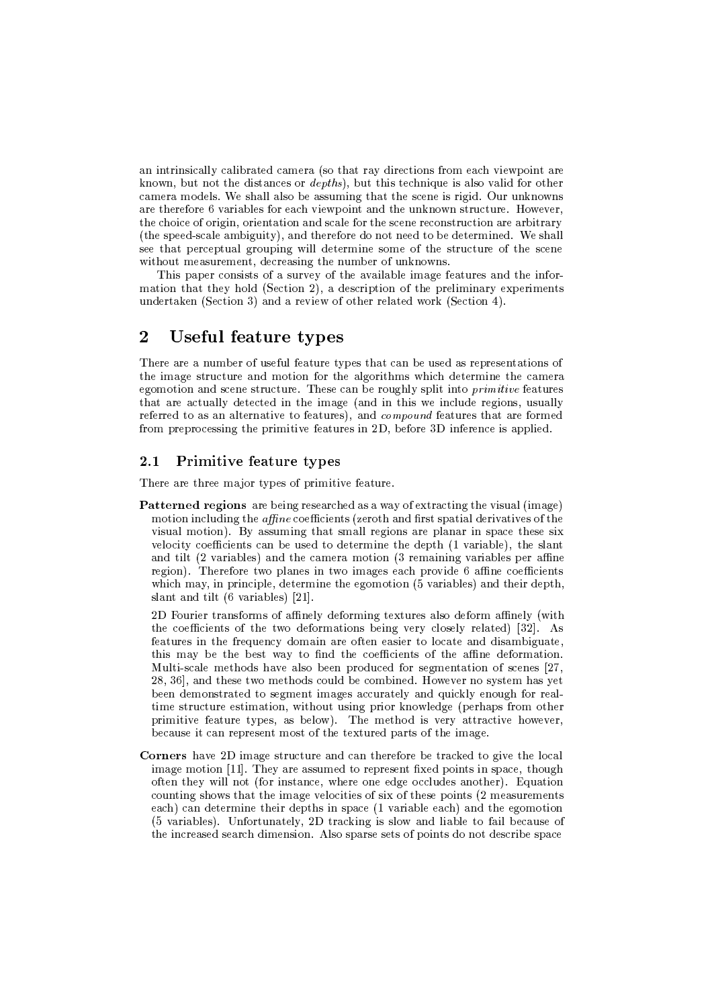$\mathcal{P}$  , and  $\mathcal{P}$  and  $\mathcal{P}$  and  $\mathcal{P}$  are the substitution of the substitution of the substitution of the substitution of the substitution of the substitution of the substitution of the substitution of the sub  $\bf{T}$  $\mathcal{L}$  and the cost of the cost of the cost of the cost of the cost of the cost of the cost of the cost of the cost of the cost of the cost of the cost of the cost of the cost of the cost of the cost of the cost of the  $\mathcal{M}$  and  $\mathcal{M}$  at the state  $\mathcal{M}$  $\mathcal{P}$  . The contract use of the contract of the contract of the contract of the contract of the contract of the contract of the contract of the contract of the contract of the contract of the contract of the contract o UVAL, RICHARD (R) quantity and a contract the contract of the contract of the contract of the contract of the c  $\Lambda$  is a contract of the contract of the contract of the contract of the contract of the contract of the contract of the contract of the contract of the contract of the contract of the contract of the contract of the con  $\mathcal{L}$  , the  $\mathcal{L}$  and  $\mathcal{L}$ 

ilka $\mathcal{R}$ webWurdekirkowalkowa kutokaziwa kutokaziwa kutokaziwa kutokaziwa kutokaziwa kutokaziwa kutokaziwa kutokaziwa k  $\mathcal{U}=\mathcal{U}=\mathcal{U}=\mathcal{U}=\mathcal{U}=\mathcal{U}=\mathcal{U}=\mathcal{U}=\mathcal{U}=\mathcal{U}=\mathcal{U}=\mathcal{U}=\mathcal{U}=\mathcal{U}=\mathcal{U}=\mathcal{U}=\mathcal{U}=\mathcal{U}=\mathcal{U}=\mathcal{U}=\mathcal{U}=\mathcal{U}=\mathcal{U}=\mathcal{U}=\mathcal{U}=\mathcal{U}=\mathcal{U}=\mathcal{U}=\mathcal{U}=\mathcal{U}=\mathcal{U}=\mathcal{U}=\mathcal{U}=\mathcal{U}=\mathcal{U}=\mathcal{U}=\mathcal{$ 

# $\blacksquare$  where  $\blacksquare$  is the  $\blacksquare$

the contract of the contract of the contract of the contract of the contract of the contract of the contract of the contract of the contract of the contract of the contract of the contract of the contract of the contract o  $\mathcal{U}$  , and  $\mathcal{U}$  and  $\mathcal{U}$  and  $\mathcal{U}$  and  $\mathcal{U}$  and  $\mathcal{U}$  and  $\mathcal{U}$  and  $\mathcal{U}$  and  $\mathcal{U}$  and  $\mathcal{U}$  and  $\mathcal{U}$  and  $\mathcal{U}$  and  $\mathcal{U}$  and  $\mathcal{U}$  and  $\mathcal{U}$  and  $\mathcal{U}$  and  $\mathcal{U}$  an conception and coope stupping. These son he noughly sult into unit, this feature U VbWBU@WBPLXWl\U]FWBc&c&kYQLSUL\U LY\_[&T\_UVALO[egZWBdL WBTAY\_[eT UVQ[&R(tvLO[&TQ\Sce]AYQLOPLSd[&^TQR#\*]QR]FWBc&c&k  $\mathcal{P}$  little is a control of the control of the control of the control of the control of the control of the control of the control of the control of the control of the control of the control of the control of the contro  $\rho$  . It is an interesting and it is

### 2.1 Primitive feature types

was a constant of the contract of the contract of the contract of the contract of the contract of the contract of the contract of the contract of the contract of the contract of the contract of the contract of the contract

 $\mathbf{Patterned~regions}$  are being researched as a way of extracting the visual (image)  $\blacksquare$  $\mathcal{L}^{\mathcal{L}}$  , then the usual definition of the usual definition of the usual definition of the usual definition of the usual definition of the usual definition of the usual definition of the usual definition of the us  $\mathbf{L}$  is a contract of  $\mathbf{L}$ ill a complete the contract of the state of the contract of the contract of the contract of the contract of the contract of the contract of the contract of the contract of the contract of the contract of the contract of t website and the matrix of the contract of the contract of the contract of the contract of the contract of the contract of the contract of the contract of the contract of the contract of the contract of the contract of the  $\blacksquare$  $T$  , and the state of the state of the state of the state of the state of the state of the state of the state of the state of the state of the state of the state of the state of the state of the state of the state of the rch use in the second contract of the second contract of the second contract of the second contract of the second contract of the second contract of the second contract of the second contract of the second contract of the

 $\sim$  P3WlTQRrimopallarius in the control of the control of the control of the control of the control of the control of the control of the control of the control of the control of the control of the control of the control  $\mathcal{L}^1$  on the automobility of  $\mathcal{L}^2$  represents the contract of  $\mathcal{L}^2$ `mL=WlU]QP LRw[&TMUVAL1`mPL]QLSTQ\kYQ^gZWB[&T WBP L}^~`mU LTML=WlR[&LPwU ^{c&^\=WlULWBTAYMYQ[&R3WBgO|Q[&d]FWBUL $\mathcal{P}$  $\Box$ provation in the contraction in the contraction of the contraction of the contraction of the contraction of the contraction of the contraction of the contraction of the contraction of the contraction of the contraction  $\sim$  and the contract of the contract of the contract of the contract of the contract of the contract of the contract of the contract of the contract of the contract of the contract of the contract of the contract of the c Lc&kzwardton in the later than the later than the later than the later three results in the later three results in the later three results in the later three results in the later three results in the later three results in  $\mathcal{L}$  , and  $\mathcal{L}$  , and  $\mathcal{L}$  and  $\mathcal{L}$  and  $\mathcal{L}$  . The contract of  $\mathcal{L}$ NQP [egh[&U[&iLZ`mL=WlU]QP LzUrkNFLR#aWBRh|FLc&^Bt8o uVQLzghLUVA^YÄ[&RhiLP kWlUUPWB\U [&iLzVQ^BtvLiLP# $\blacksquare$  . The URUCH  $\blacksquare$ 

was the contract the contract of the contract of the contract of the contract of the contract of the contract of the contract of the contract of the contract of the contract of the contract of the contract of the contract  $\blacksquare$ ^~`rULTU VQLkftu[ec&cTQ^U `m^P
[&TQRUWBTQ\SLtuVQLP L<^TAL<LYQdL<^\\c&]QYQLR(WBTQ^UVQLPof¥\*]bWBU [e^T $\{U_{\alpha}\}_{\alpha\in\mathbb{R}}$  , which is a set of the contract of the contract use of the contract use of the contract of the contract of the contract of the contract of the contract of the contract of the contract of the contract Let  $\overline{X}$  by a contribution of the contribution of the contribution of the contribution of the contribution of the contribution of the contribution of the contribution of the contribution of the contribution of the con ilWr and  $\alpha$  is the  $\alpha$  and  $\alpha$  are  $\alpha$  in  $\alpha$  and  $\alpha$  $\lambda$ lur $\lambda$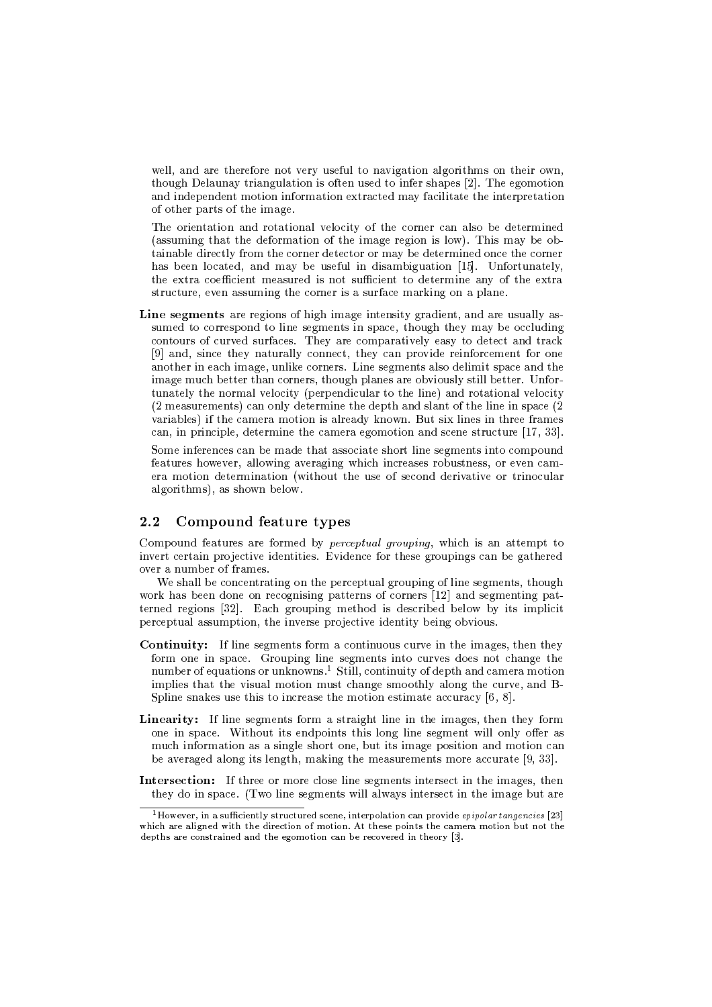well, and are therefore not very useful to navigation algorithms on their own, though Delaunay triangulation is often used to infer shapes [2]. The egomotion and independent motion information extracted may facilitate the interpretation of other parts of the image.

The orientation and rotational velocity of the corner can also be determined (assuming that the deformation of the image region is low). This may be obtainable directly from the corner detector or may be determined once the corner has been located, and may be useful in disambiguation [15]. Unfortunately, the extra coefficient measured is not sufficient to determine any of the extra structure, even assuming the corner is a surface marking on a plane.

Line segments are regions of high image intensity gradient, and are usually assumed to correspond to line segments in space, though they may be occluding contours of curved surfaces. They are comparatively easy to detect and track [9] and, since they naturally connect, they can provide reinforcement for one another in each image, unlike corners. Line segments also delimit space and the image much better than corners, though planes are obviously still better. Unfortunately the normal velocity (perpendicular to the line) and rotational velocity (2 measurements) can only determine the depth and slant of the line in space (2) variables) if the camera motion is already known. But six lines in three frames can, in principle, determine the camera egomotion and scene structure  $[17, 33]$ .

Some inferences can be made that associate short line segments into compound features however, allowing averaging which increases robustness, or even camera motion determination (without the use of second derivative or trinocular algorithms), as shown below.

#### $2.2$ Compound feature types

Compound features are formed by *perceptual grouping*, which is an attempt to invert certain projective identities. Evidence for these groupings can be gathered over a number of frames.

We shall be concentrating on the perceptual grouping of line segments, though work has been done on recognising patterns of corners [12] and segmenting patterned regions [32]. Each grouping method is described below by its implicit perceptual assumption, the inverse projective identity being obvious.

- **Continuity:** If line segments form a continuous curve in the images, then they form one in space. Grouping line segments into curves does not change the number of equations or unknowns.<sup>1</sup> Still, continuity of depth and camera motion implies that the visual motion must change smoothly along the curve, and B-Spline snakes use this to increase the motion estimate accuracy  $[6, 8]$ .
- Linearity: If line segments form a straight line in the images, then they form one in space. Without its endpoints this long line segment will only offer as much information as a single short one, but its image position and motion can be averaged along its length, making the measurements more accurate [9, 33].
- **Intersection:** If three or more close line segments intersect in the images, then they do in space. (Two line segments will always intersect in the image but are

<sup>&</sup>lt;sup>1</sup>However, in a sufficiently structured scene, interpolation can provide epipolar tangencies [23] which are aligned with the direction of motion. At these points the camera motion but not the depths are constrained and the egomotion can be recovered in theory [3].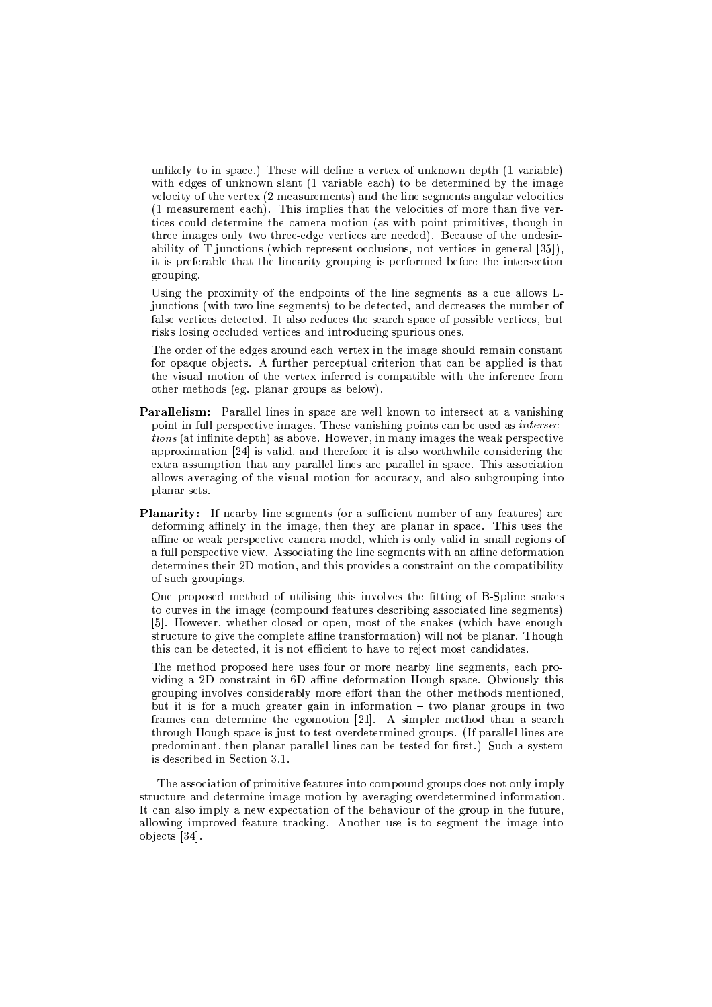unlikely to in space.) These will define a vertex of unknown depth (1 variable) with edges of unknown slant (1 variable each) to be determined by the image velocity of the vertex (2 measurements) and the line segments angular velocities (1 measurement each). This implies that the velocities of more than five vertices could determine the camera motion (as with point primitives, though in three images only two three-edge vertices are needed). Because of the undesirability of T-junctions (which represent occlusions, not vertices in general [35]). it is preferable that the linearity grouping is performed before the intersection grouping.

Using the proximity of the endpoints of the line segments as a cue allows Ljunctions (with two line segments) to be detected, and decreases the number of false vertices detected. It also reduces the search space of possible vertices, but risks losing occluded vertices and introducing spurious ones.

The order of the edges around each vertex in the image should remain constant for opaque objects. A further perceptual criterion that can be applied is that the visual motion of the vertex inferred is compatible with the inference from other methods (eg. planar groups as below).

- Parallelism: Parallel lines in space are well known to intersect at a vanishing point in full perspective images. These vanishing points can be used as *intersec*tions (at infinite depth) as above. However, in many images the weak perspective approximation [24] is valid, and therefore it is also worthwhile considering the extra assumption that any parallel lines are parallel in space. This association allows averaging of the visual motion for accuracy, and also subgrouping into planar sets.
- **Planarity:** If nearby line segments (or a sufficient number of any features) are deforming affinely in the image, then they are planar in space. This uses the affine or weak perspective camera model, which is only valid in small regions of a full perspective view. Associating the line segments with an affine deformation determines their 2D motion, and this provides a constraint on the compatibility of such groupings.

One proposed method of utilising this involves the fitting of B-Spline snakes to curves in the image (compound features describing associated line segments) [5]. However, whether closed or open, most of the snakes (which have enough structure to give the complete affine transformation) will not be planar. Though this can be detected, it is not efficient to have to reject most candidates.

The method proposed here uses four or more nearby line segments, each providing a 2D constraint in 6D affine deformation Hough space. Obviously this grouping involves considerably more effort than the other methods mentioned, but it is for a much greater gain in information  $-$  two planar groups in two frames can determine the egomotion [21]. A simpler method than a search through Hough space is just to test overdetermined groups. (If parallel lines are predominant, then planar parallel lines can be tested for first.) Such a system is described in Section 3.1.

The association of primitive features into compound groups does not only imply structure and determine image motion by averaging overdetermined information. It can also imply a new expectation of the behaviour of the group in the future, allowing improved feature tracking. Another use is to segment the image into  $obiects$  [34].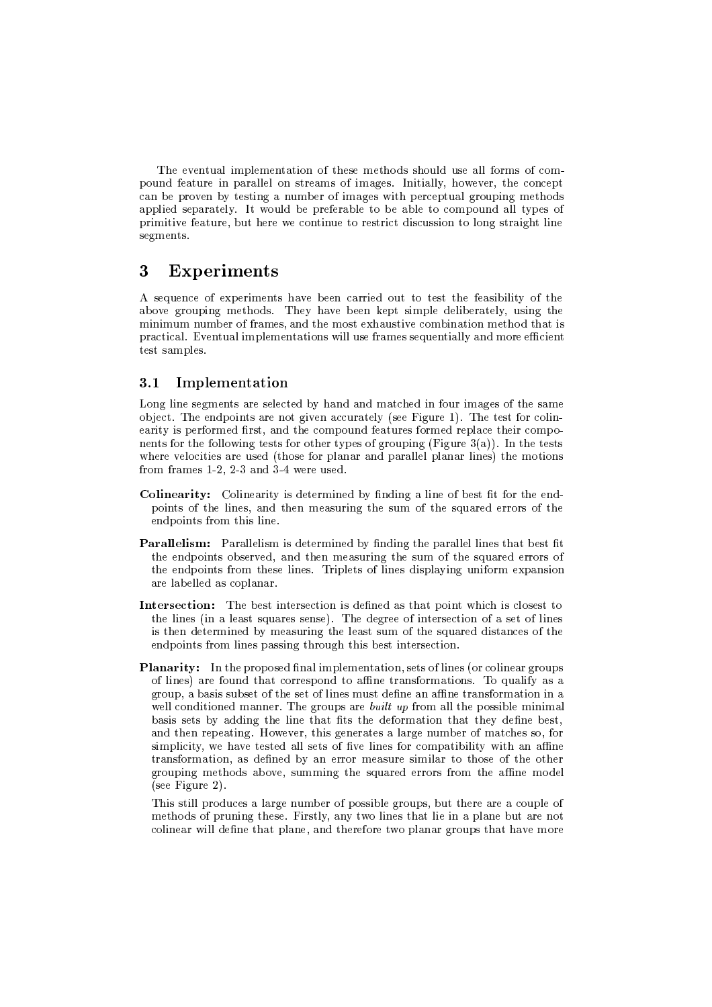The eventual implementation of these methods should use all forms of compound feature in parallel on streams of images. Initially, however, the concept can be proven by testing a number of images with perceptual grouping methods applied separately. It would be preferable to be able to compound all types of primitive feature, but here we continue to restrict discussion to long straight line segments.

#### 3 **Experiments**

A sequence of experiments have been carried out to test the feasibility of the above grouping methods. They have been kept simple deliberately, using the minimum number of frames, and the most exhaustive combination method that is practical. Eventual implementations will use frames sequentially and more efficient test samples.

#### Implementation  $3.1$

Long line segments are selected by hand and matched in four images of the same object. The endpoints are not given accurately (see Figure 1). The test for colinearity is performed first, and the compound features formed replace their components for the following tests for other types of grouping (Figure 3(a)). In the tests where velocities are used (those for planar and parallel planar lines) the motions from frames  $1-2$ ,  $2-3$  and  $3-4$  were used.

- **Colinearity:** Colinearity is determined by finding a line of best fit for the endpoints of the lines, and then measuring the sum of the squared errors of the endpoints from this line.
- **Parallelism:** Parallelism is determined by finding the parallel lines that best fit the endpoints observed, and then measuring the sum of the squared errors of the endpoints from these lines. Triplets of lines displaying uniform expansion are labelled as coplanar.
- Intersection: The best intersection is defined as that point which is closest to the lines (in a least squares sense). The degree of intersection of a set of lines is then determined by measuring the least sum of the squared distances of the endpoints from lines passing through this best intersection.
- **Planarity:** In the proposed final implementation, sets of lines (or colinear groups of lines) are found that correspond to affine transformations. To qualify as a group, a basis subset of the set of lines must define an affine transformation in a well conditioned manner. The groups are *built up* from all the possible minimal basis sets by adding the line that fits the deformation that they define best, and then repeating. However, this generates a large number of matches so, for simplicity, we have tested all sets of five lines for compatibility with an affine transformation, as defined by an error measure similar to those of the other grouping methods above, summing the squared errors from the affine model  $(see Figure 2).$

This still produces a large number of possible groups, but there are a couple of methods of pruning these. Firstly, any two lines that lie in a plane but are not colinear will define that plane, and therefore two planar groups that have more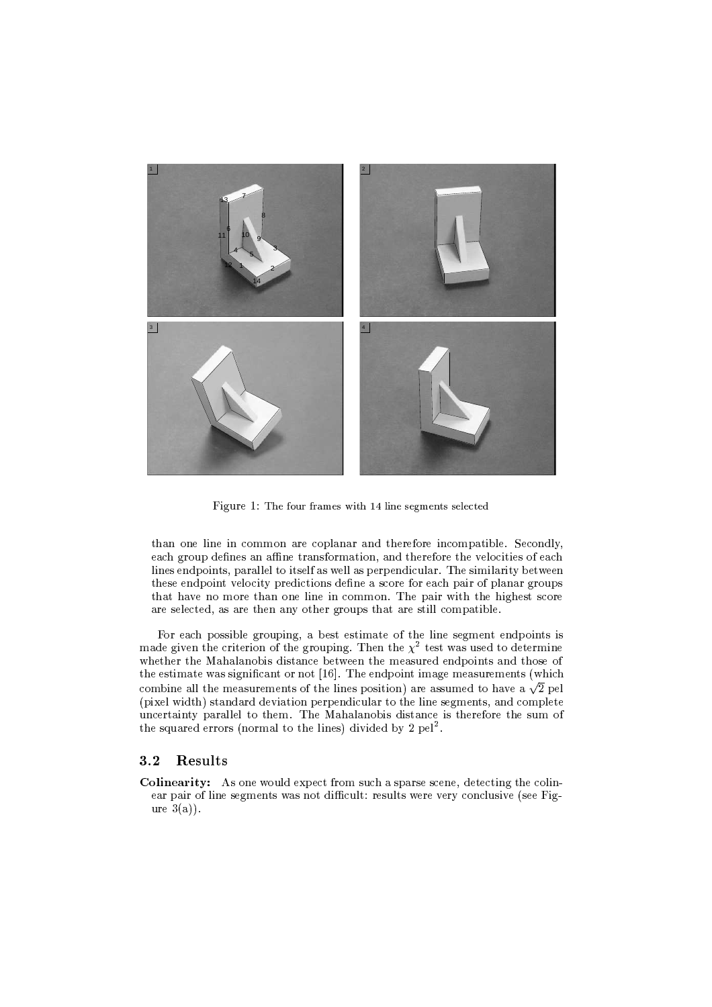

Figure 1: The four frames with 14 line segments selected

than one line in common are coplanar and therefore incompatible. Secondly, each group defines an affine transformation, and therefore the velocities of each lines endpoints, parallel to itself as well as perpendicular. The similarity between these endpoint velocity predictions define a score for each pair of planar groups that have no more than one line in common. The pair with the highest score are selected, as are then any other groups that are still compatible.

For each possible grouping, a best estimate of the line segment endpoints is made given the criterion of the grouping. Then the  $\chi^2$  test was used to determine whether the Mahalanobis distance between the measured endpoints and those of the estimate was significant or not [16]. The endpoint image measurements (which combine all the measurements of the lines position) are assumed to have a  $\sqrt{2}$  pel (pixel width) standard deviation perpendicular to the line segments, and complete uncertainty parallel to them. The Mahalanobis distance is therefore the sum of the squared errors (normal to the lines) divided by 2 pel<sup>2</sup>.

#### Results  $3.2$

**Colinearity:** As one would expect from such a sparse scene, detecting the colinear pair of line segments was not difficult: results were very conclusive (see Figure  $3(a)$ .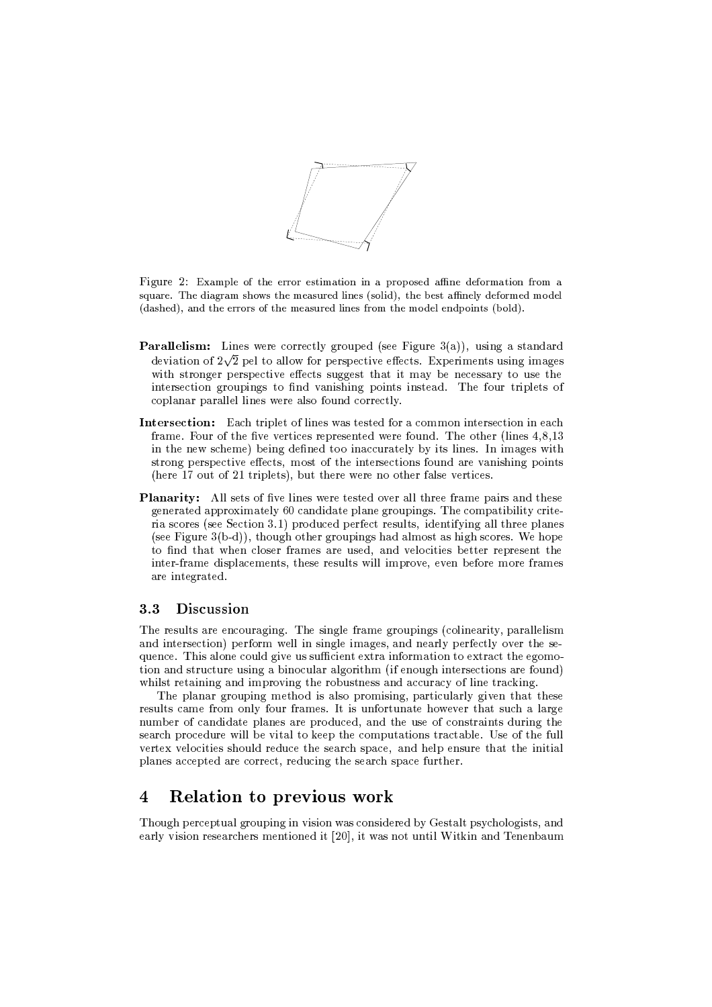

Figure 2: Example of the error estimation in a proposed affine deformation from a square. The diagram shows the measured lines (solid), the best affinely deformed model (dashed), and the errors of the measured lines from the model endpoints (bold).

- **Parallelism:** Lines were correctly grouped (see Figure 3(a)), using a standard deviation of  $2\sqrt{2}$  pel to allow for perspective effects. Experiments using images with stronger perspective effects suggest that it may be necessary to use the intersection groupings to find vanishing points instead. The four triplets of coplanar parallel lines were also found correctly.
- **Intersection:** Each triplet of lines was tested for a common intersection in each frame. Four of the five vertices represented were found. The other (lines  $4,8,13$ ) in the new scheme) being defined too inaccurately by its lines. In images with strong perspective effects, most of the intersections found are vanishing points (here 17 out of 21 triplets), but there were no other false vertices.
- **Planarity:** All sets of five lines were tested over all three frame pairs and these generated approximately 60 candidate plane groupings. The compatibility criteria scores (see Section 3.1) produced perfect results, identifying all three planes (see Figure  $3(b-d)$ ), though other groupings had almost as high scores. We hope to find that when closer frames are used, and velocities better represent the inter-frame displacements, these results will improve, even before more frames are integrated.

#### $3.3$ Discussion

The results are encouraging. The single frame groupings (colinearity, parallelism and intersection) perform well in single images, and nearly perfectly over the sequence. This alone could give us sufficient extra information to extract the egomotion and structure using a binocular algorithm (if enough intersections are found) whilst retaining and improving the robustness and accuracy of line tracking.

The planar grouping method is also promising, particularly given that these results came from only four frames. It is unfortunate however that such a large number of candidate planes are produced, and the use of constraints during the search procedure will be vital to keep the computations tractable. Use of the full vertex velocities should reduce the search space, and help ensure that the initial planes accepted are correct, reducing the search space further.

#### **Relation to previous work**  $\overline{4}$

Though perceptual grouping in vision was considered by Gestalt psychologists, and early vision researchers mentioned it [20], it was not until Witkin and Tenenbaum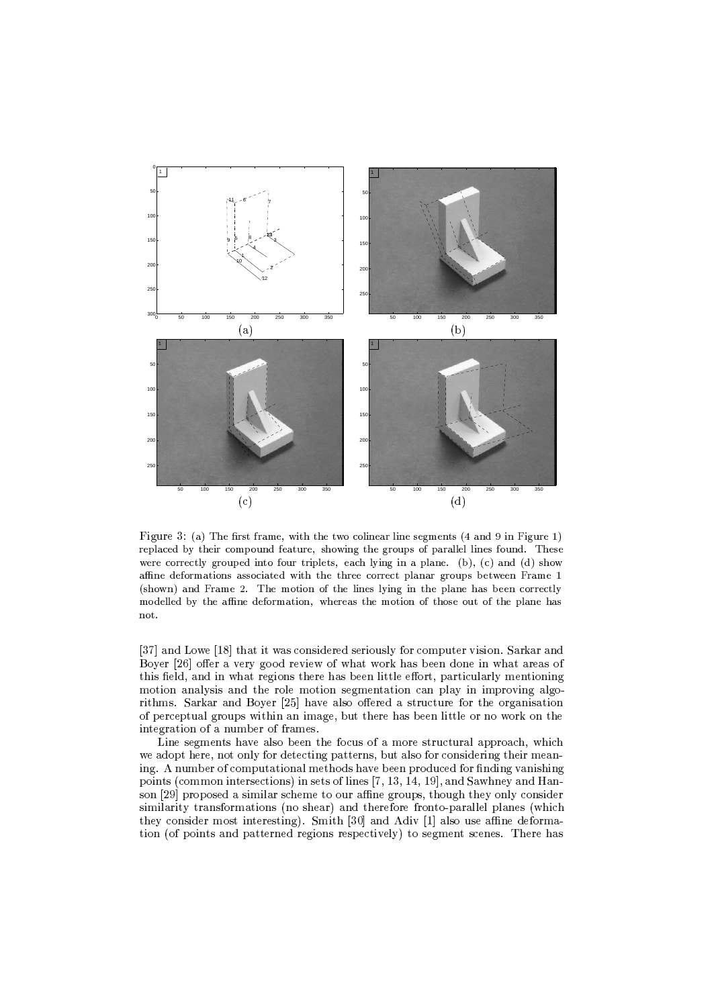

Figure 3: (a) The first frame, with the two colinear line segments (4 and 9 in Figure 1) replaced by their compound feature, showing the groups of parallel lines found. These were correctly grouped into four triplets, each lying in a plane. (b), (c) and (d) show affine deformations associated with the three correct planar groups between Frame 1 (shown) and Frame 2. The motion of the lines lying in the plane has been correctly modelled by the affine deformation, whereas the motion of those out of the plane has not

[37] and Lowe [18] that it was considered seriously for computer vision. Sarkar and Boyer [26] offer a very good review of what work has been done in what areas of this field, and in what regions there has been little effort, particularly mentioning motion analysis and the role motion segmentation can play in improving algorithms. Sarkar and Boyer [25] have also offered a structure for the organisation of perceptual groups within an image, but there has been little or no work on the integration of a number of frames.

Line segments have also been the focus of a more structural approach, which we adopt here, not only for detecting patterns, but also for considering their meaning. A number of computational methods have been produced for finding vanishing points (common intersections) in sets of lines [7, 13, 14, 19], and Sawhney and Hanson [29] proposed a similar scheme to our affine groups, though they only consider similarity transformations (no shear) and therefore fronto-parallel planes (which they consider most interesting). Smith [30] and Adiv [1] also use affine deformation (of points and patterned regions respectively) to segment scenes. There has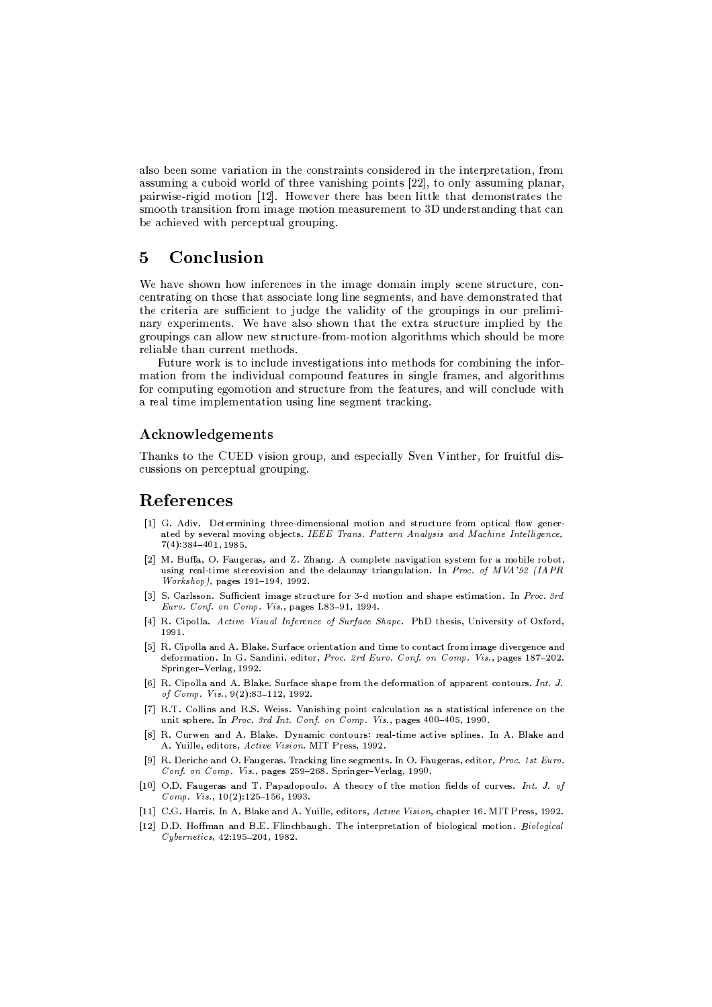also been some variation in the constraints considered in the interpretation, from assuming a cuboid world of three vanishing points [22], to only assuming planar, pairwise-rigid motion [12]. However there has been little that demonstrates the smooth transition from image motion measurement to 3D understanding that can be achieved with perceptual grouping.

#### Conclusion  $\overline{5}$

We have shown how inferences in the image domain imply scene structure, concentrating on those that associate long line segments, and have demonstrated that the criteria are sufficient to judge the validity of the groupings in our preliminary experiments. We have also shown that the extra structure implied by the groupings can allow new structure-from-motion algorithms which should be more reliable than current methods.

Future work is to include investigations into methods for combining the information from the individual compound features in single frames, and algorithms for computing egomotion and structure from the features, and will conclude with a real time implementation using line segment tracking.

### Acknowledgements

Thanks to the CUED vision group, and especially Sven Vinther, for fruitful discussions on perceptual grouping.

## References

- [1] G. Adiv. Determining three-dimensional motion and structure from optical flow generated by several moving objects. IEEE Trans. Pattern Analysis and Machine Intelligence,  $7(4):384-401,1985.$
- [2] M. Buffa, O. Faugeras, and Z. Zhang. A complete navigation system for a mobile robot, using real-time stereovision and the delaunay triangulation. In *Proc. of MVA'92 (IAPR* Workshop), pages 191-194, 1992.
- [3] S. Carlsson. Sufficient image structure for 3-d motion and shape estimation. In Proc. 3rd Euro. Conf. on Comp. Vis., pages I.83-91, 1994.
- [4] R. Cipolla. Active Visual Inference of Surface Shape. PhD thesis, University of Oxford, 1991
- [5] R. Cipolla and A. Blake. Surface orientation and time to contact from image divergence and deformation. In G. Sandini, editor, Proc. 2rd Euro. Conf. on Comp. Vis., pages 187-202. Springer-Verlag, 1992.
- [6] R. Cipolla and A. Blake. Surface shape from the deformation of apparent contours. Int. J. of Comp. Vis., 9(2):83-112, 1992.
- [7] R.T. Collins and R.S. Weiss. Vanishing point calculation as a statistical inference on the unit sphere. In Proc. 3rd Int. Conf. on Comp. Vis., pages 400-405, 1990.
- [8] R. Curwen and A. Blake. Dynamic contours: real-time active splines. In A. Blake and A. Yuille, editors, Active Vision. MIT Press, 1992.
- [9] R. Deriche and O. Faugeras. Tracking line segments. In O. Faugeras, editor, Proc. 1st Euro. Conf. on Comp. Vis., pages 259-268. Springer-Verlag, 1990.
- [10] O.D. Faugeras and T. Papadopoulo. A theory of the motion fields of curves. Int. J. of Comp. Vis., 10(2):125-156, 1993.
- [11] C.G. Harris. In A. Blake and A. Yuille, editors, Active Vision, chapter 16. MIT Press, 1992.
- [12] D.D. Hoffman and B.E. Flinchbaugh. The interpretation of biological motion. Biological Cybernetics, 42:195-204, 1982.